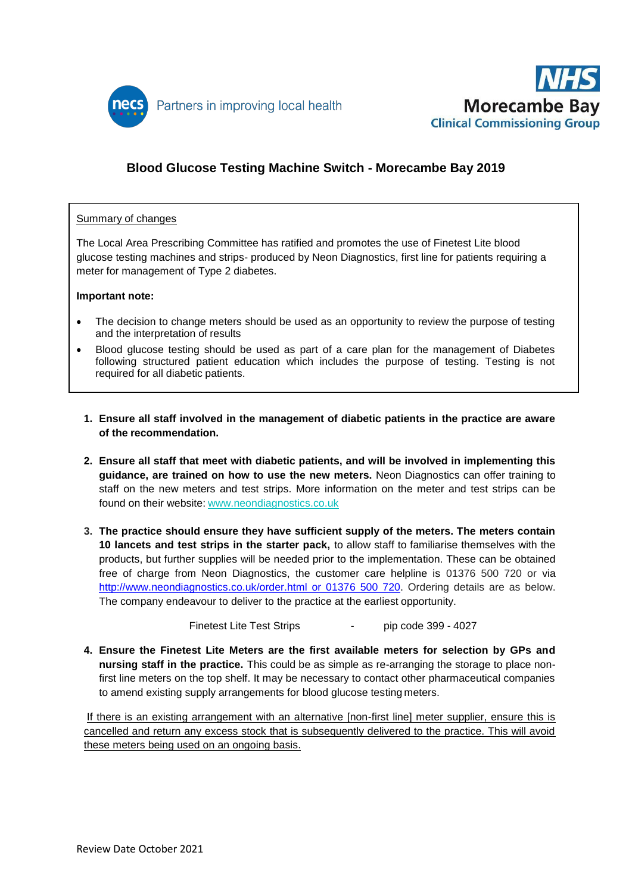



# **Blood Glucose Testing Machine Switch - Morecambe Bay 2019**

#### Summary of changes

The Local Area Prescribing Committee has ratified and promotes the use of Finetest Lite blood glucose testing machines and strips- produced by Neon Diagnostics, first line for patients requiring a meter for management of Type 2 diabetes.

#### **Important note:**

- The decision to change meters should be used as an opportunity to review the purpose of testing and the interpretation of results
- Blood glucose testing should be used as part of a care plan for the management of Diabetes following structured patient education which includes the purpose of testing. Testing is not required for all diabetic patients.
- **1. Ensure all staff involved in the management of diabetic patients in the practice are aware of the recommendation.**
- **2. Ensure all staff that meet with diabetic patients, and will be involved in implementing this guidance, are trained on how to use the new meters.** Neon Diagnostics can offer training to staff on the new meters and test strips. More information on the meter and test strips can be found on their website: [www.neondiagnostics.co.uk](http://neondiagnostics.co.uk/)
- **3. The practice should ensure they have sufficient supply of the meters. The meters contain 10 lancets and test strips in the starter pack,** to allow staff to familiarise themselves with the products, but further supplies will be needed prior to the implementation. These can be obtained free of charge from Neon Diagnostics, the customer care helpline is 01376 500 720 or via [http://www.neondiagnostics.co.uk/order.html or 01376 500 720.](http://www.neondiagnostics.co.uk/order.html%20or%2001376%20500%20720) Ordering details are as below. The company endeavour to deliver to the practice at the earliest opportunity.

Finetest Lite Test Strips **Finetest** Lite Test Strips **Finetest** Lite Test Strips

**4. Ensure the Finetest Lite Meters are the first available meters for selection by GPs and nursing staff in the practice.** This could be as simple as re-arranging the storage to place nonfirst line meters on the top shelf. It may be necessary to contact other pharmaceutical companies to amend existing supply arrangements for blood glucose testing meters.

If there is an existing arrangement with an alternative [non-first line] meter supplier, ensure this is cancelled and return any excess stock that is subsequently delivered to the practice. This will avoid these meters being used on an ongoing basis.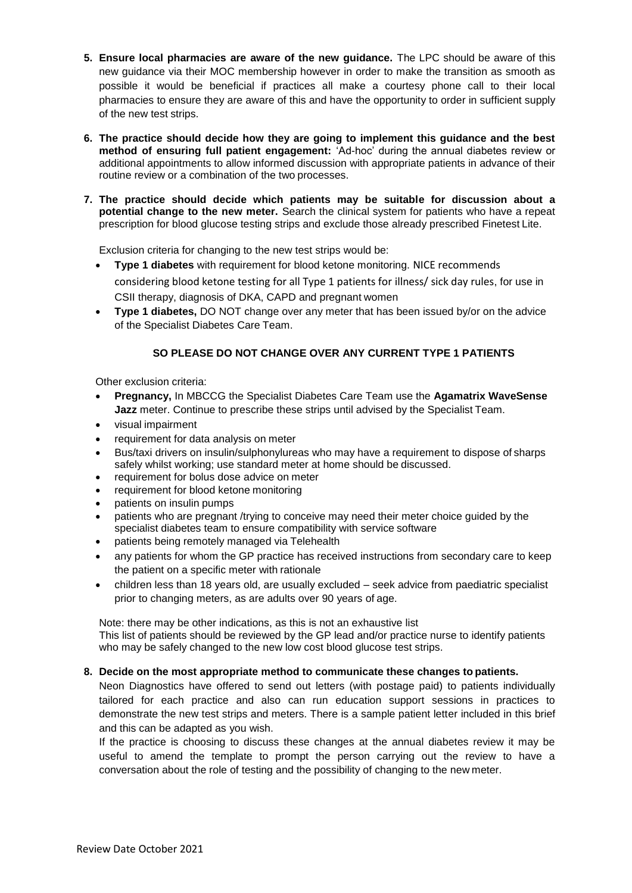- **5. Ensure local pharmacies are aware of the new guidance.** The LPC should be aware of this new guidance via their MOC membership however in order to make the transition as smooth as possible it would be beneficial if practices all make a courtesy phone call to their local pharmacies to ensure they are aware of this and have the opportunity to order in sufficient supply of the new test strips.
- **6. The practice should decide how they are going to implement this guidance and the best method of ensuring full patient engagement:** 'Ad-hoc' during the annual diabetes review or additional appointments to allow informed discussion with appropriate patients in advance of their routine review or a combination of the two processes.
- **7. The practice should decide which patients may be suitable for discussion about a potential change to the new meter.** Search the clinical system for patients who have a repeat prescription for blood glucose testing strips and exclude those already prescribed Finetest Lite.

Exclusion criteria for changing to the new test strips would be:

**Type 1 diabetes** with requirement for blood ketone monitoring. NICE recommends

considering blood ketone testing for all Type 1 patients for illness/ sick day rules, for use in CSII therapy, diagnosis of DKA, CAPD and pregnant women

 **Type 1 diabetes,** DO NOT change over any meter that has been issued by/or on the advice of the Specialist Diabetes Care Team.

### **SO PLEASE DO NOT CHANGE OVER ANY CURRENT TYPE 1 PATIENTS**

Other exclusion criteria:

- **Pregnancy,** In MBCCG the Specialist Diabetes Care Team use the **Agamatrix WaveSense Jazz** meter. Continue to prescribe these strips until advised by the Specialist Team.
- visual impairment
- requirement for data analysis on meter
- Bus/taxi drivers on insulin/sulphonylureas who may have a requirement to dispose of sharps safely whilst working; use standard meter at home should be discussed.
- requirement for bolus dose advice on meter
- requirement for blood ketone monitoring
- patients on insulin pumps
- patients who are pregnant /trying to conceive may need their meter choice guided by the specialist diabetes team to ensure compatibility with service software
- patients being remotely managed via Telehealth
- any patients for whom the GP practice has received instructions from secondary care to keep the patient on a specific meter with rationale
- children less than 18 years old, are usually excluded seek advice from paediatric specialist prior to changing meters, as are adults over 90 years of age.

Note: there may be other indications, as this is not an exhaustive list This list of patients should be reviewed by the GP lead and/or practice nurse to identify patients who may be safely changed to the new low cost blood glucose test strips.

#### **8. Decide on the most appropriate method to communicate these changes to patients.**

Neon Diagnostics have offered to send out letters (with postage paid) to patients individually tailored for each practice and also can run education support sessions in practices to demonstrate the new test strips and meters. There is a sample patient letter included in this brief and this can be adapted as you wish.

If the practice is choosing to discuss these changes at the annual diabetes review it may be useful to amend the template to prompt the person carrying out the review to have a conversation about the role of testing and the possibility of changing to the new meter.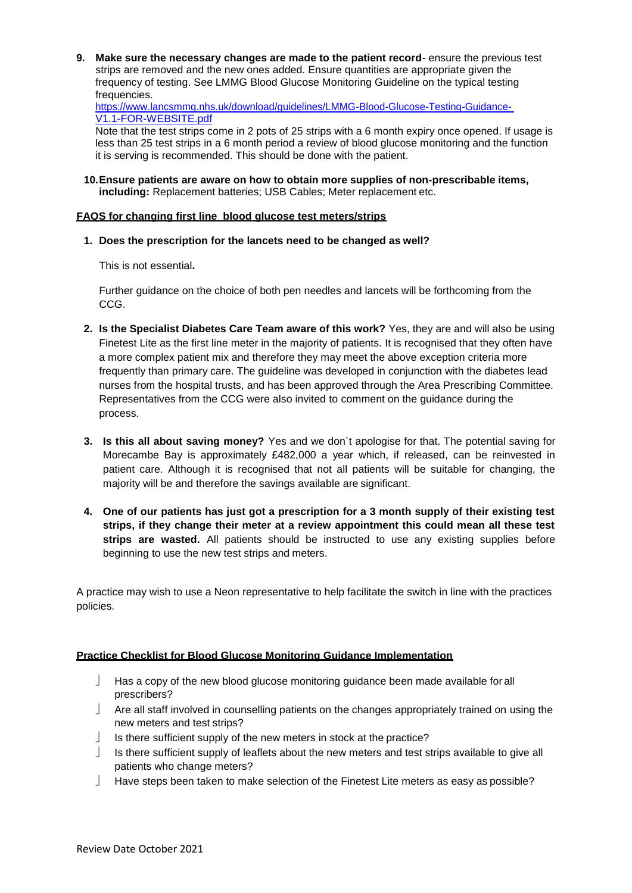**9. Make sure the necessary changes are made to the patient record**- ensure the previous test strips are removed and the new ones added. Ensure quantities are appropriate given the frequency of testing. See LMMG Blood Glucose Monitoring Guideline on the typical testing frequencies.

[https://www.lancsmmg.nhs.uk/download/guidelines/LMMG-Blood-Glucose-Testing-Guidance-](https://www.lancsmmg.nhs.uk/download/guidelines/LMMG-Blood-Glucose-Testing-Guidance-V1.1-FOR-WEBSITE.pdf)[V1.1-FOR-WEBSITE.pdf](https://www.lancsmmg.nhs.uk/download/guidelines/LMMG-Blood-Glucose-Testing-Guidance-V1.1-FOR-WEBSITE.pdf)

Note that the test strips come in 2 pots of 25 strips with a 6 month expiry once opened. If usage is less than 25 test strips in a 6 month period a review of blood glucose monitoring and the function it is serving is recommended. This should be done with the patient.

**10.Ensure patients are aware on how to obtain more supplies of non-prescribable items, including:** Replacement batteries; USB Cables; Meter replacement etc.

#### **FAQS for changing first line blood glucose test meters/strips**

**1. Does the prescription for the lancets need to be changed as well?**

This is not essential**.**

Further guidance on the choice of both pen needles and lancets will be forthcoming from the CCG.

- **2. Is the Specialist Diabetes Care Team aware of this work?** Yes, they are and will also be using Finetest Lite as the first line meter in the majority of patients. It is recognised that they often have a more complex patient mix and therefore they may meet the above exception criteria more frequently than primary care. The guideline was developed in conjunction with the diabetes lead nurses from the hospital trusts, and has been approved through the Area Prescribing Committee. Representatives from the CCG were also invited to comment on the guidance during the process.
- **3. Is this all about saving money?** Yes and we don`t apologise for that. The potential saving for Morecambe Bay is approximately £482,000 a year which, if released, can be reinvested in patient care. Although it is recognised that not all patients will be suitable for changing, the majority will be and therefore the savings available are significant.
- **4. One of our patients has just got a prescription for a 3 month supply of their existing test strips, if they change their meter at a review appointment this could mean all these test**  strips are wasted. All patients should be instructed to use any existing supplies before beginning to use the new test strips and meters.

A practice may wish to use a Neon representative to help facilitate the switch in line with the practices policies.

#### **Practice Checklist for Blood Glucose Monitoring Guidance Implementation**

- Has a copy of the new blood glucose monitoring guidance been made available for all prescribers?
- Are all staff involved in counselling patients on the changes appropriately trained on using the new meters and test strips?
- $\Box$  Is there sufficient supply of the new meters in stock at the practice?
- $\Box$  Is there sufficient supply of leaflets about the new meters and test strips available to give all patients who change meters?
- $\Box$  Have steps been taken to make selection of the Finetest Lite meters as easy as possible?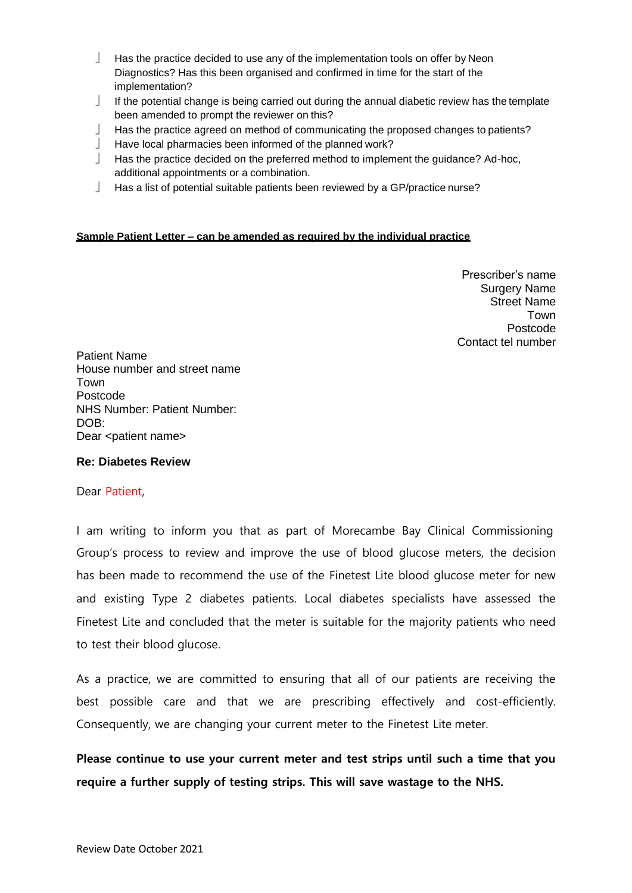- $\Box$  Has the practice decided to use any of the implementation tools on offer by Neon Diagnostics? Has this been organised and confirmed in time for the start of the implementation?
- If the potential change is being carried out during the annual diabetic review has the template been amended to prompt the reviewer on this?
- Has the practice agreed on method of communicating the proposed changes to patients?
- $\Box$  Have local pharmacies been informed of the planned work?
- $\Box$  Has the practice decided on the preferred method to implement the guidance? Ad-hoc, additional appointments or a combination.
- Has a list of potential suitable patients been reviewed by a GP/practice nurse?

### **Sample Patient Letter – can be amended as required by the individual practice**

Prescriber's name Surgery Name Street Name Town Postcode Contact tel number

Patient Name House number and street name Town Postcode NHS Number: Patient Number: DOB: Dear <patient name>

#### **Re: Diabetes Review**

#### Dear Patient,

I am writing to inform you that as part of Morecambe Bay Clinical Commissioning Group's process to review and improve the use of blood glucose meters, the decision has been made to recommend the use of the Finetest Lite blood glucose meter for new and existing Type 2 diabetes patients. Local diabetes specialists have assessed the Finetest Lite and concluded that the meter is suitable for the majority patients who need to test their blood glucose.

As a practice, we are committed to ensuring that all of our patients are receiving the best possible care and that we are prescribing effectively and cost-efficiently. Consequently, we are changing your current meter to the Finetest Lite meter.

**Please continue to use your current meter and test strips until such a time that you require a further supply of testing strips. This will save wastage to the NHS.**